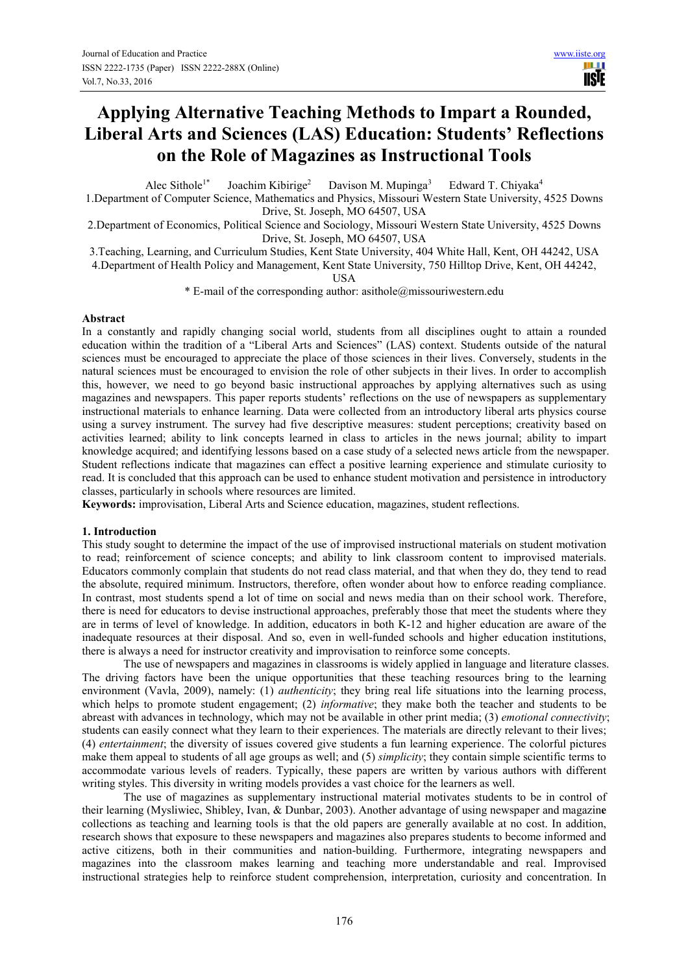# **Applying Alternative Teaching Methods to Impart a Rounded, Liberal Arts and Sciences (LAS) Education: Students' Reflections on the Role of Magazines as Instructional Tools**

Alec Sithole<sup>1\*</sup> Joachim Kibirige<sup>2</sup> Davison M. Mupinga<sup>3</sup> Edward T. Chiyaka<sup>4</sup>

1.Department of Computer Science, Mathematics and Physics, Missouri Western State University, 4525 Downs Drive, St. Joseph, MO 64507, USA

2.Department of Economics, Political Science and Sociology, Missouri Western State University, 4525 Downs Drive, St. Joseph, MO 64507, USA

3.Teaching, Learning, and Curriculum Studies, Kent State University, 404 White Hall, Kent, OH 44242, USA

4.Department of Health Policy and Management, Kent State University, 750 Hilltop Drive, Kent, OH 44242,

USA

\* E-mail of the corresponding author: asithole@missouriwestern.edu

#### **Abstract**

In a constantly and rapidly changing social world, students from all disciplines ought to attain a rounded education within the tradition of a "Liberal Arts and Sciences" (LAS) context. Students outside of the natural sciences must be encouraged to appreciate the place of those sciences in their lives. Conversely, students in the natural sciences must be encouraged to envision the role of other subjects in their lives. In order to accomplish this, however, we need to go beyond basic instructional approaches by applying alternatives such as using magazines and newspapers. This paper reports students' reflections on the use of newspapers as supplementary instructional materials to enhance learning. Data were collected from an introductory liberal arts physics course using a survey instrument. The survey had five descriptive measures: student perceptions; creativity based on activities learned; ability to link concepts learned in class to articles in the news journal; ability to impart knowledge acquired; and identifying lessons based on a case study of a selected news article from the newspaper. Student reflections indicate that magazines can effect a positive learning experience and stimulate curiosity to read. It is concluded that this approach can be used to enhance student motivation and persistence in introductory classes, particularly in schools where resources are limited.

**Keywords:** improvisation, Liberal Arts and Science education, magazines, student reflections.

#### **1. Introduction**

This study sought to determine the impact of the use of improvised instructional materials on student motivation to read; reinforcement of science concepts; and ability to link classroom content to improvised materials. Educators commonly complain that students do not read class material, and that when they do, they tend to read the absolute, required minimum. Instructors, therefore, often wonder about how to enforce reading compliance. In contrast, most students spend a lot of time on social and news media than on their school work. Therefore, there is need for educators to devise instructional approaches, preferably those that meet the students where they are in terms of level of knowledge. In addition, educators in both K-12 and higher education are aware of the inadequate resources at their disposal. And so, even in well-funded schools and higher education institutions, there is always a need for instructor creativity and improvisation to reinforce some concepts.

The use of newspapers and magazines in classrooms is widely applied in language and literature classes. The driving factors have been the unique opportunities that these teaching resources bring to the learning environment (Vavla, 2009), namely: (1) *authenticity*; they bring real life situations into the learning process, which helps to promote student engagement; (2) *informative*; they make both the teacher and students to be abreast with advances in technology, which may not be available in other print media; (3) *emotional connectivity*; students can easily connect what they learn to their experiences. The materials are directly relevant to their lives; (4) *entertainment*; the diversity of issues covered give students a fun learning experience. The colorful pictures make them appeal to students of all age groups as well; and (5) *simplicity*; they contain simple scientific terms to accommodate various levels of readers. Typically, these papers are written by various authors with different writing styles. This diversity in writing models provides a vast choice for the learners as well.

The use of magazines as supplementary instructional material motivates students to be in control of their learning (Mysliwiec, Shibley, Ivan, & Dunbar, 2003). Another advantage of using newspaper and magazin**e** collections as teaching and learning tools is that the old papers are generally available at no cost. In addition, research shows that exposure to these newspapers and magazines also prepares students to become informed and active citizens, both in their communities and nation-building. Furthermore, integrating newspapers and magazines into the classroom makes learning and teaching more understandable and real. Improvised instructional strategies help to reinforce student comprehension, interpretation, curiosity and concentration. In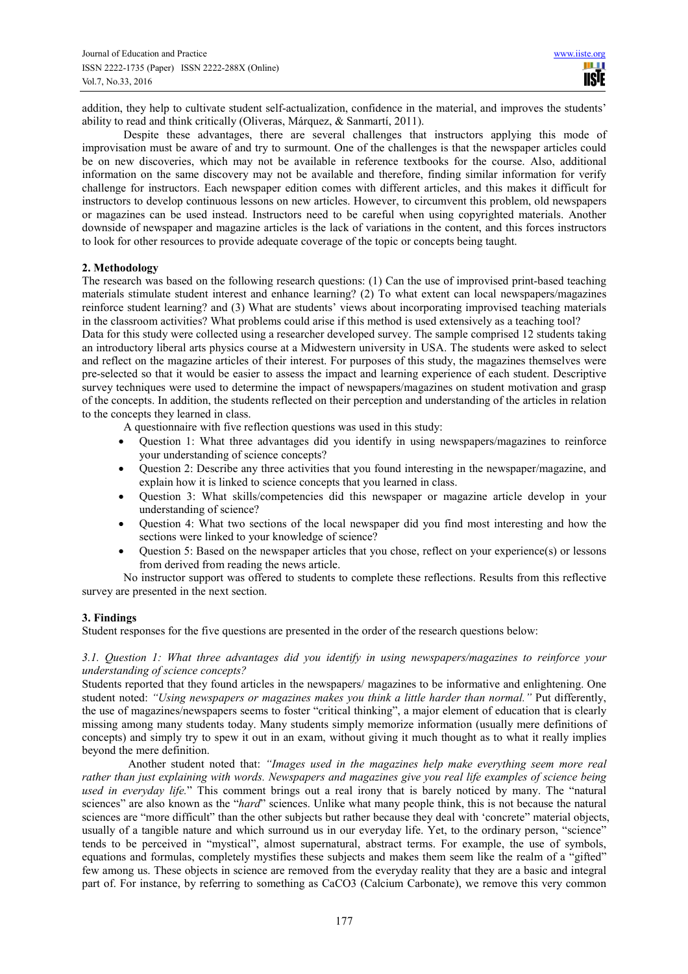addition, they help to cultivate student self-actualization, confidence in the material, and improves the students' ability to read and think critically (Oliveras, Márquez, & Sanmartí, 2011).

Despite these advantages, there are several challenges that instructors applying this mode of improvisation must be aware of and try to surmount. One of the challenges is that the newspaper articles could be on new discoveries, which may not be available in reference textbooks for the course. Also, additional information on the same discovery may not be available and therefore, finding similar information for verify challenge for instructors. Each newspaper edition comes with different articles, and this makes it difficult for instructors to develop continuous lessons on new articles. However, to circumvent this problem, old newspapers or magazines can be used instead. Instructors need to be careful when using copyrighted materials. Another downside of newspaper and magazine articles is the lack of variations in the content, and this forces instructors to look for other resources to provide adequate coverage of the topic or concepts being taught.

## **2. Methodology**

The research was based on the following research questions: (1) Can the use of improvised print-based teaching materials stimulate student interest and enhance learning? (2) To what extent can local newspapers/magazines reinforce student learning? and (3) What are students' views about incorporating improvised teaching materials in the classroom activities? What problems could arise if this method is used extensively as a teaching tool?

Data for this study were collected using a researcher developed survey. The sample comprised 12 students taking an introductory liberal arts physics course at a Midwestern university in USA. The students were asked to select and reflect on the magazine articles of their interest. For purposes of this study, the magazines themselves were pre-selected so that it would be easier to assess the impact and learning experience of each student. Descriptive survey techniques were used to determine the impact of newspapers/magazines on student motivation and grasp of the concepts. In addition, the students reflected on their perception and understanding of the articles in relation to the concepts they learned in class.

A questionnaire with five reflection questions was used in this study:

- Question 1: What three advantages did you identify in using newspapers/magazines to reinforce your understanding of science concepts?
- Question 2: Describe any three activities that you found interesting in the newspaper/magazine, and explain how it is linked to science concepts that you learned in class.
- Question 3: What skills/competencies did this newspaper or magazine article develop in your understanding of science?
- Question 4: What two sections of the local newspaper did you find most interesting and how the sections were linked to your knowledge of science?
- Question 5: Based on the newspaper articles that you chose, reflect on your experience(s) or lessons from derived from reading the news article.

No instructor support was offered to students to complete these reflections. Results from this reflective survey are presented in the next section.

# **3. Findings**

Student responses for the five questions are presented in the order of the research questions below:

*3.1. Question 1: What three advantages did you identify in using newspapers/magazines to reinforce your understanding of science concepts?* 

Students reported that they found articles in the newspapers/ magazines to be informative and enlightening. One student noted: *"Using newspapers or magazines makes you think a little harder than normal."* Put differently, the use of magazines/newspapers seems to foster "critical thinking", a major element of education that is clearly missing among many students today. Many students simply memorize information (usually mere definitions of concepts) and simply try to spew it out in an exam, without giving it much thought as to what it really implies beyond the mere definition.

Another student noted that: *"Images used in the magazines help make everything seem more real rather than just explaining with words. Newspapers and magazines give you real life examples of science being used in everyday life.*" This comment brings out a real irony that is barely noticed by many. The "natural sciences" are also known as the "*hard*" sciences. Unlike what many people think, this is not because the natural sciences are "more difficult" than the other subjects but rather because they deal with 'concrete" material objects, usually of a tangible nature and which surround us in our everyday life. Yet, to the ordinary person, "science" tends to be perceived in "mystical", almost supernatural, abstract terms. For example, the use of symbols, equations and formulas, completely mystifies these subjects and makes them seem like the realm of a "gifted" few among us. These objects in science are removed from the everyday reality that they are a basic and integral part of. For instance, by referring to something as CaCO3 (Calcium Carbonate), we remove this very common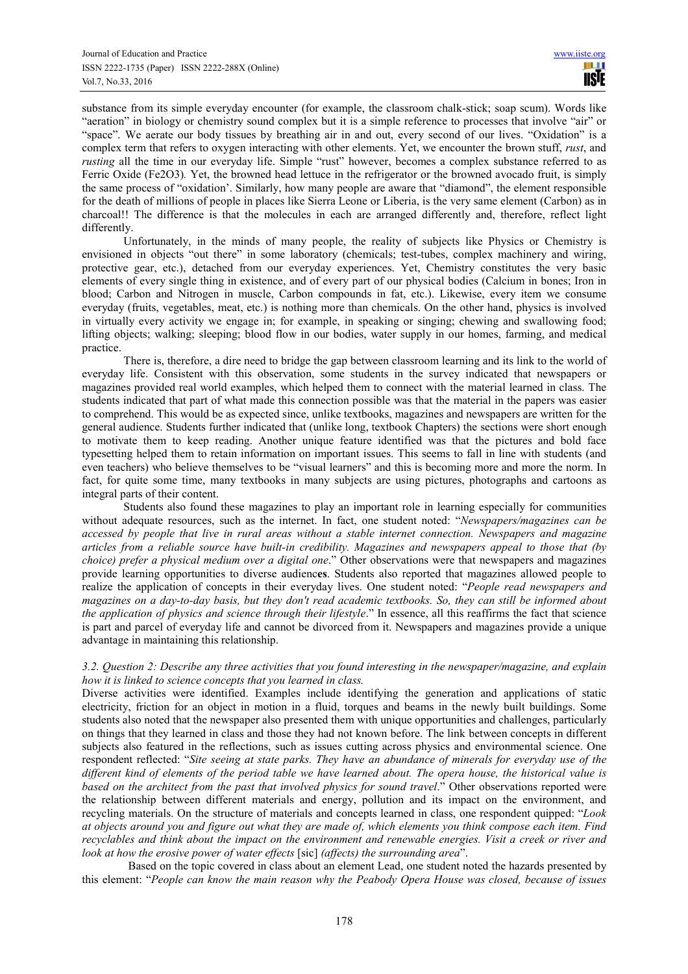substance from its simple everyday encounter (for example, the classroom chalk-stick; soap scum). Words like "aeration" in biology or chemistry sound complex but it is a simple reference to processes that involve "air" or "space". We aerate our body tissues by breathing air in and out, every second of our lives. "Oxidation" is a complex term that refers to oxygen interacting with other elements. Yet, we encounter the brown stuff, *rust*, and *rusting* all the time in our everyday life. Simple "rust" however, becomes a complex substance referred to as Ferric Oxide (Fe2O3)*.* Yet, the browned head lettuce in the refrigerator or the browned avocado fruit, is simply the same process of "oxidation'. Similarly, how many people are aware that "diamond", the element responsible for the death of millions of people in places like Sierra Leone or Liberia, is the very same element (Carbon) as in charcoal!! The difference is that the molecules in each are arranged differently and, therefore, reflect light differently.

Unfortunately, in the minds of many people, the reality of subjects like Physics or Chemistry is envisioned in objects "out there" in some laboratory (chemicals; test-tubes, complex machinery and wiring, protective gear, etc.), detached from our everyday experiences. Yet, Chemistry constitutes the very basic elements of every single thing in existence, and of every part of our physical bodies (Calcium in bones; Iron in blood; Carbon and Nitrogen in muscle, Carbon compounds in fat, etc.). Likewise, every item we consume everyday (fruits, vegetables, meat, etc.) is nothing more than chemicals. On the other hand, physics is involved in virtually every activity we engage in; for example, in speaking or singing; chewing and swallowing food; lifting objects; walking; sleeping; blood flow in our bodies, water supply in our homes, farming, and medical practice.

There is, therefore, a dire need to bridge the gap between classroom learning and its link to the world of everyday life. Consistent with this observation, some students in the survey indicated that newspapers or magazines provided real world examples, which helped them to connect with the material learned in class. The students indicated that part of what made this connection possible was that the material in the papers was easier to comprehend. This would be as expected since, unlike textbooks, magazines and newspapers are written for the general audience. Students further indicated that (unlike long, textbook Chapters) the sections were short enough to motivate them to keep reading. Another unique feature identified was that the pictures and bold face typesetting helped them to retain information on important issues. This seems to fall in line with students (and even teachers) who believe themselves to be "visual learners" and this is becoming more and more the norm. In fact, for quite some time, many textbooks in many subjects are using pictures, photographs and cartoons as integral parts of their content.

Students also found these magazines to play an important role in learning especially for communities without adequate resources, such as the internet. In fact, one student noted: "*Newspapers/magazines can be accessed by people that live in rural areas without a stable internet connection. Newspapers and magazine articles from a reliable source have built-in credibility. Magazines and newspapers appeal to those that (by choice) prefer a physical medium over a digital one*." Other observations were that newspapers and magazines provide learning opportunities to diverse audienc**es**. Students also reported that magazines allowed people to realize the application of concepts in their everyday lives. One student noted: "*People read newspapers and magazines on a day-to-day basis, but they don't read academic textbooks. So, they can still be informed about the application of physics and science through their lifestyle*." In essence, all this reaffirms the fact that science is part and parcel of everyday life and cannot be divorced from it. Newspapers and magazines provide a unique advantage in maintaining this relationship.

## *3.2. Question 2: Describe any three activities that you found interesting in the newspaper/magazine, and explain how it is linked to science concepts that you learned in class.*

Diverse activities were identified. Examples include identifying the generation and applications of static electricity, friction for an object in motion in a fluid, torques and beams in the newly built buildings. Some students also noted that the newspaper also presented them with unique opportunities and challenges, particularly on things that they learned in class and those they had not known before. The link between concepts in different subjects also featured in the reflections, such as issues cutting across physics and environmental science. One respondent reflected: "*Site seeing at state parks. They have an abundance of minerals for everyday use of the different kind of elements of the period table we have learned about. The opera house, the historical value is*  based on the architect from the past that involved physics for sound travel." Other observations reported were the relationship between different materials and energy, pollution and its impact on the environment, and recycling materials. On the structure of materials and concepts learned in class, one respondent quipped: "*Look at objects around you and figure out what they are made of, which elements you think compose each item. Find recyclables and think about the impact on the environment and renewable energies. Visit a creek or river and look at how the erosive power of water effects* [sic] *(affects) the surrounding area*".

Based on the topic covered in class about an element Lead, one student noted the hazards presented by this element: "*People can know the main reason why the Peabody Opera House was closed, because of issues*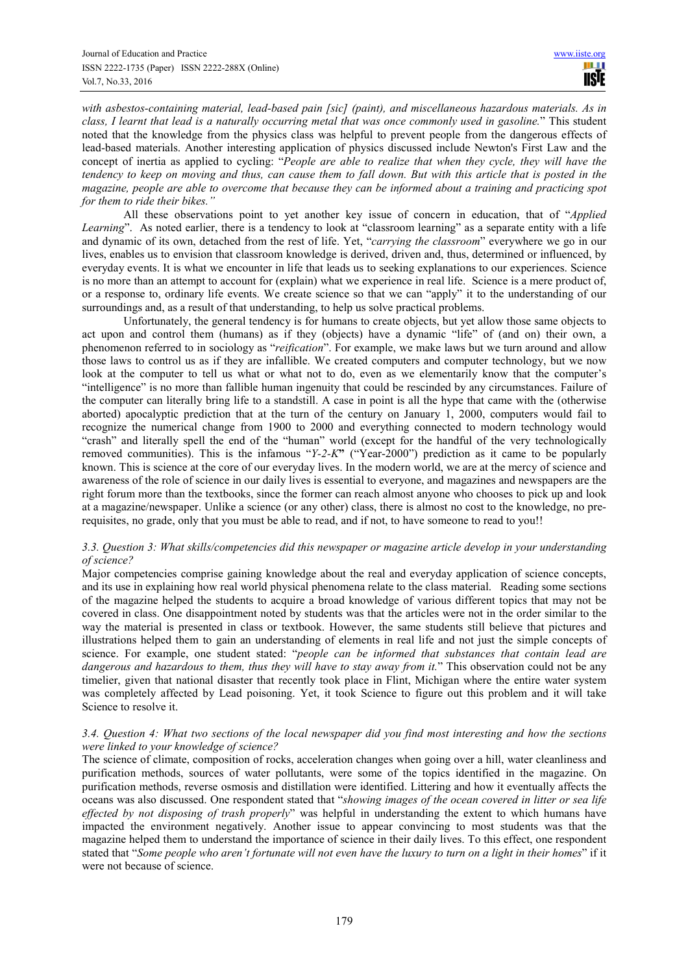*with asbestos-containing material, lead-based pain [sic] (paint), and miscellaneous hazardous materials. As in class, I learnt that lead is a naturally occurring metal that was once commonly used in gasoline.*" This student noted that the knowledge from the physics class was helpful to prevent people from the dangerous effects of lead-based materials. Another interesting application of physics discussed include Newton's First Law and the concept of inertia as applied to cycling: "*People are able to realize that when they cycle, they will have the tendency to keep on moving and thus, can cause them to fall down. But with this article that is posted in the magazine, people are able to overcome that because they can be informed about a training and practicing spot for them to ride their bikes."* 

All these observations point to yet another key issue of concern in education, that of "*Applied Learning*". As noted earlier, there is a tendency to look at "classroom learning" as a separate entity with a life and dynamic of its own, detached from the rest of life. Yet, "*carrying the classroom*" everywhere we go in our lives, enables us to envision that classroom knowledge is derived, driven and, thus, determined or influenced, by everyday events. It is what we encounter in life that leads us to seeking explanations to our experiences. Science is no more than an attempt to account for (explain) what we experience in real life. Science is a mere product of, or a response to, ordinary life events. We create science so that we can "apply" it to the understanding of our surroundings and, as a result of that understanding, to help us solve practical problems.

Unfortunately, the general tendency is for humans to create objects, but yet allow those same objects to act upon and control them (humans) as if they (objects) have a dynamic "life" of (and on) their own, a phenomenon referred to in sociology as "*reification*". For example, we make laws but we turn around and allow those laws to control us as if they are infallible. We created computers and computer technology, but we now look at the computer to tell us what or what not to do, even as we elementarily know that the computer's "intelligence" is no more than fallible human ingenuity that could be rescinded by any circumstances. Failure of the computer can literally bring life to a standstill. A case in point is all the hype that came with the (otherwise aborted) apocalyptic prediction that at the turn of the century on January 1, 2000, computers would fail to recognize the numerical change from 1900 to 2000 and everything connected to modern technology would "crash" and literally spell the end of the "human" world (except for the handful of the very technologically removed communities). This is the infamous "*Y-2-K***"** ("Year-2000") prediction as it came to be popularly known. This is science at the core of our everyday lives. In the modern world, we are at the mercy of science and awareness of the role of science in our daily lives is essential to everyone, and magazines and newspapers are the right forum more than the textbooks, since the former can reach almost anyone who chooses to pick up and look at a magazine/newspaper. Unlike a science (or any other) class, there is almost no cost to the knowledge, no prerequisites, no grade, only that you must be able to read, and if not, to have someone to read to you!!

## *3.3. Question 3: What skills/competencies did this newspaper or magazine article develop in your understanding of science?*

Major competencies comprise gaining knowledge about the real and everyday application of science concepts, and its use in explaining how real world physical phenomena relate to the class material. Reading some sections of the magazine helped the students to acquire a broad knowledge of various different topics that may not be covered in class. One disappointment noted by students was that the articles were not in the order similar to the way the material is presented in class or textbook. However, the same students still believe that pictures and illustrations helped them to gain an understanding of elements in real life and not just the simple concepts of science. For example, one student stated: "*people can be informed that substances that contain lead are dangerous and hazardous to them, thus they will have to stay away from it.*" This observation could not be any timelier, given that national disaster that recently took place in Flint, Michigan where the entire water system was completely affected by Lead poisoning. Yet, it took Science to figure out this problem and it will take Science to resolve it.

# *3.4. Question 4: What two sections of the local newspaper did you find most interesting and how the sections were linked to your knowledge of science?*

The science of climate, composition of rocks, acceleration changes when going over a hill, water cleanliness and purification methods, sources of water pollutants, were some of the topics identified in the magazine. On purification methods, reverse osmosis and distillation were identified. Littering and how it eventually affects the oceans was also discussed. One respondent stated that "*showing images of the ocean covered in litter or sea life effected by not disposing of trash properly*" was helpful in understanding the extent to which humans have impacted the environment negatively. Another issue to appear convincing to most students was that the magazine helped them to understand the importance of science in their daily lives. To this effect, one respondent stated that "*Some people who aren't fortunate will not even have the luxury to turn on a light in their homes*" if it were not because of science.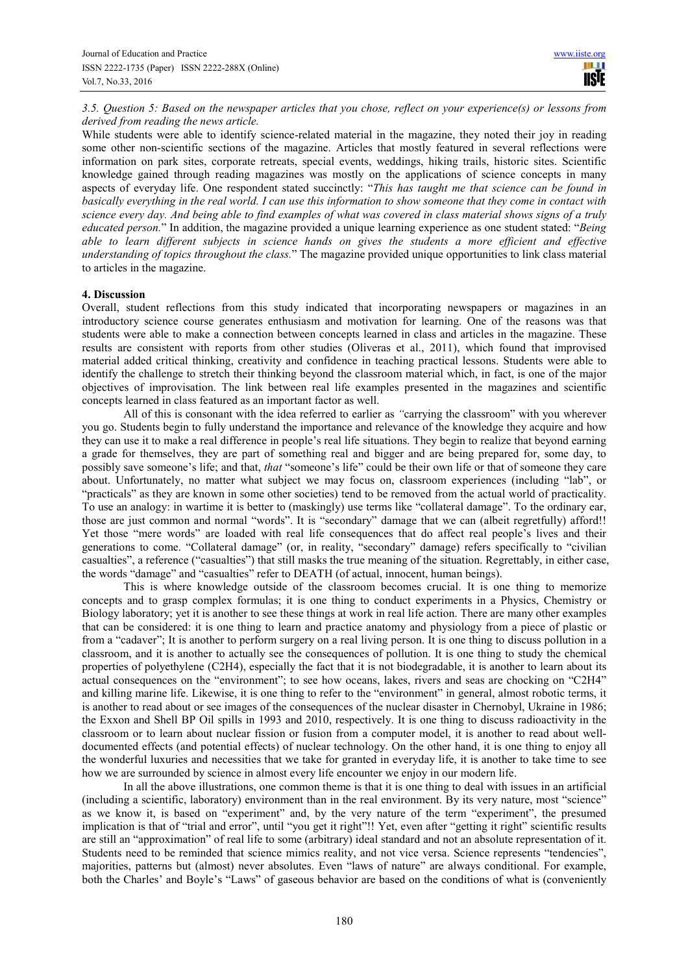*3.5. Question 5: Based on the newspaper articles that you chose, reflect on your experience(s) or lessons from derived from reading the news article.* 

While students were able to identify science-related material in the magazine, they noted their joy in reading some other non-scientific sections of the magazine. Articles that mostly featured in several reflections were information on park sites, corporate retreats, special events, weddings, hiking trails, historic sites. Scientific knowledge gained through reading magazines was mostly on the applications of science concepts in many aspects of everyday life. One respondent stated succinctly: "*This has taught me that science can be found in basically everything in the real world. I can use this information to show someone that they come in contact with science every day. And being able to find examples of what was covered in class material shows signs of a truly educated person.*" In addition, the magazine provided a unique learning experience as one student stated: "*Being able to learn different subjects in science hands on gives the students a more efficient and effective understanding of topics throughout the class.*" The magazine provided unique opportunities to link class material to articles in the magazine.

## **4. Discussion**

Overall, student reflections from this study indicated that incorporating newspapers or magazines in an introductory science course generates enthusiasm and motivation for learning. One of the reasons was that students were able to make a connection between concepts learned in class and articles in the magazine. These results are consistent with reports from other studies (Oliveras et al., 2011), which found that improvised material added critical thinking, creativity and confidence in teaching practical lessons. Students were able to identify the challenge to stretch their thinking beyond the classroom material which, in fact, is one of the major objectives of improvisation. The link between real life examples presented in the magazines and scientific concepts learned in class featured as an important factor as well.

All of this is consonant with the idea referred to earlier as *"*carrying the classroom" with you wherever you go. Students begin to fully understand the importance and relevance of the knowledge they acquire and how they can use it to make a real difference in people's real life situations. They begin to realize that beyond earning a grade for themselves, they are part of something real and bigger and are being prepared for, some day, to possibly save someone's life; and that, *that* "someone's life" could be their own life or that of someone they care about. Unfortunately, no matter what subject we may focus on, classroom experiences (including "lab", or "practicals" as they are known in some other societies) tend to be removed from the actual world of practicality. To use an analogy: in wartime it is better to (maskingly) use terms like "collateral damage". To the ordinary ear, those are just common and normal "words". It is "secondary" damage that we can (albeit regretfully) afford!! Yet those "mere words" are loaded with real life consequences that do affect real people's lives and their generations to come. "Collateral damage" (or, in reality, "secondary" damage) refers specifically to "civilian casualties", a reference ("casualties") that still masks the true meaning of the situation. Regrettably, in either case, the words "damage" and "casualties" refer to DEATH (of actual, innocent, human beings).

This is where knowledge outside of the classroom becomes crucial. It is one thing to memorize concepts and to grasp complex formulas; it is one thing to conduct experiments in a Physics, Chemistry or Biology laboratory; yet it is another to see these things at work in real life action. There are many other examples that can be considered: it is one thing to learn and practice anatomy and physiology from a piece of plastic or from a "cadaver"; It is another to perform surgery on a real living person. It is one thing to discuss pollution in a classroom, and it is another to actually see the consequences of pollution. It is one thing to study the chemical properties of polyethylene (C2H4), especially the fact that it is not biodegradable, it is another to learn about its actual consequences on the "environment"; to see how oceans, lakes, rivers and seas are chocking on "C2H4" and killing marine life. Likewise, it is one thing to refer to the "environment" in general, almost robotic terms, it is another to read about or see images of the consequences of the nuclear disaster in Chernobyl, Ukraine in 1986; the Exxon and Shell BP Oil spills in 1993 and 2010, respectively. It is one thing to discuss radioactivity in the classroom or to learn about nuclear fission or fusion from a computer model, it is another to read about welldocumented effects (and potential effects) of nuclear technology. On the other hand, it is one thing to enjoy all the wonderful luxuries and necessities that we take for granted in everyday life, it is another to take time to see how we are surrounded by science in almost every life encounter we enjoy in our modern life.

In all the above illustrations, one common theme is that it is one thing to deal with issues in an artificial (including a scientific, laboratory) environment than in the real environment. By its very nature, most "science" as we know it, is based on "experiment" and, by the very nature of the term "experiment", the presumed implication is that of "trial and error", until "you get it right"!! Yet, even after "getting it right" scientific results are still an "approximation" of real life to some (arbitrary) ideal standard and not an absolute representation of it. Students need to be reminded that science mimics reality, and not vice versa. Science represents "tendencies", majorities, patterns but (almost) never absolutes. Even "laws of nature" are always conditional. For example, both the Charles' and Boyle's "Laws" of gaseous behavior are based on the conditions of what is (conveniently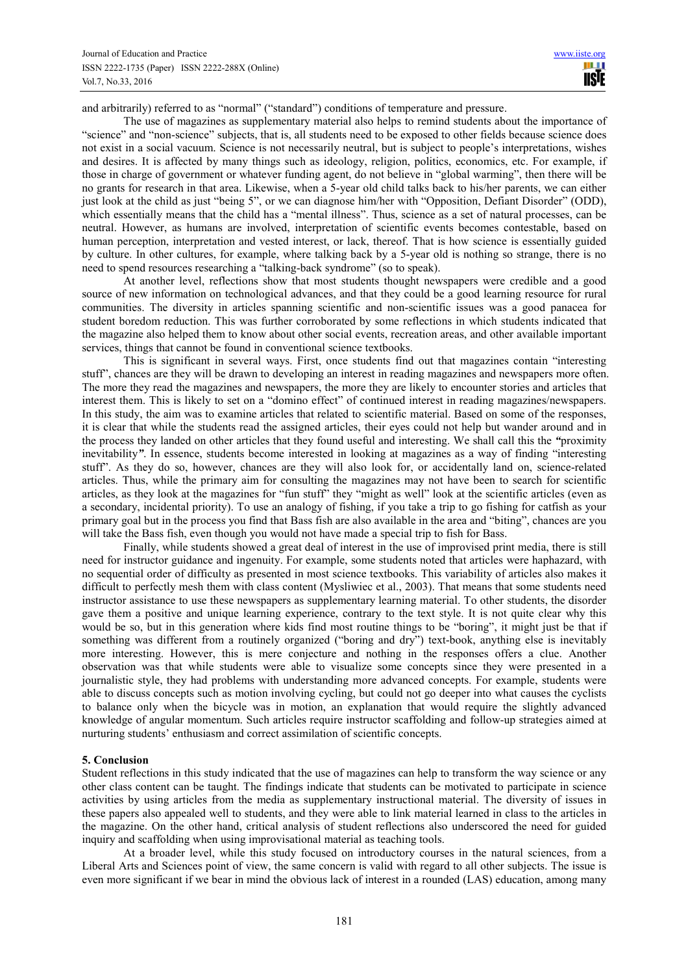and arbitrarily) referred to as "normal" ("standard") conditions of temperature and pressure.

The use of magazines as supplementary material also helps to remind students about the importance of "science" and "non-science" subjects, that is, all students need to be exposed to other fields because science does not exist in a social vacuum. Science is not necessarily neutral, but is subject to people's interpretations, wishes and desires. It is affected by many things such as ideology, religion, politics, economics, etc. For example, if those in charge of government or whatever funding agent, do not believe in "global warming", then there will be no grants for research in that area. Likewise, when a 5-year old child talks back to his/her parents, we can either just look at the child as just "being 5", or we can diagnose him/her with "Opposition, Defiant Disorder" (ODD), which essentially means that the child has a "mental illness". Thus, science as a set of natural processes, can be neutral. However, as humans are involved, interpretation of scientific events becomes contestable, based on human perception, interpretation and vested interest, or lack, thereof. That is how science is essentially guided by culture. In other cultures, for example, where talking back by a 5-year old is nothing so strange, there is no need to spend resources researching a "talking-back syndrome" (so to speak).

At another level, reflections show that most students thought newspapers were credible and a good source of new information on technological advances, and that they could be a good learning resource for rural communities. The diversity in articles spanning scientific and non-scientific issues was a good panacea for student boredom reduction. This was further corroborated by some reflections in which students indicated that the magazine also helped them to know about other social events, recreation areas, and other available important services, things that cannot be found in conventional science textbooks.

This is significant in several ways. First, once students find out that magazines contain "interesting stuff", chances are they will be drawn to developing an interest in reading magazines and newspapers more often. The more they read the magazines and newspapers, the more they are likely to encounter stories and articles that interest them. This is likely to set on a "domino effect" of continued interest in reading magazines/newspapers. In this study, the aim was to examine articles that related to scientific material. Based on some of the responses, it is clear that while the students read the assigned articles, their eyes could not help but wander around and in the process they landed on other articles that they found useful and interesting. We shall call this the *"*proximity inevitability*"*. In essence, students become interested in looking at magazines as a way of finding "interesting stuff". As they do so, however, chances are they will also look for, or accidentally land on, science-related articles. Thus, while the primary aim for consulting the magazines may not have been to search for scientific articles, as they look at the magazines for "fun stuff" they "might as well" look at the scientific articles (even as a secondary, incidental priority). To use an analogy of fishing, if you take a trip to go fishing for catfish as your primary goal but in the process you find that Bass fish are also available in the area and "biting", chances are you will take the Bass fish, even though you would not have made a special trip to fish for Bass.

Finally, while students showed a great deal of interest in the use of improvised print media, there is still need for instructor guidance and ingenuity. For example, some students noted that articles were haphazard, with no sequential order of difficulty as presented in most science textbooks. This variability of articles also makes it difficult to perfectly mesh them with class content (Mysliwiec et al., 2003). That means that some students need instructor assistance to use these newspapers as supplementary learning material. To other students, the disorder gave them a positive and unique learning experience, contrary to the text style. It is not quite clear why this would be so, but in this generation where kids find most routine things to be "boring", it might just be that if something was different from a routinely organized ("boring and dry") text-book, anything else is inevitably more interesting. However, this is mere conjecture and nothing in the responses offers a clue. Another observation was that while students were able to visualize some concepts since they were presented in a journalistic style, they had problems with understanding more advanced concepts. For example, students were able to discuss concepts such as motion involving cycling, but could not go deeper into what causes the cyclists to balance only when the bicycle was in motion, an explanation that would require the slightly advanced knowledge of angular momentum. Such articles require instructor scaffolding and follow-up strategies aimed at nurturing students' enthusiasm and correct assimilation of scientific concepts.

# **5. Conclusion**

Student reflections in this study indicated that the use of magazines can help to transform the way science or any other class content can be taught. The findings indicate that students can be motivated to participate in science activities by using articles from the media as supplementary instructional material. The diversity of issues in these papers also appealed well to students, and they were able to link material learned in class to the articles in the magazine. On the other hand, critical analysis of student reflections also underscored the need for guided inquiry and scaffolding when using improvisational material as teaching tools.

At a broader level, while this study focused on introductory courses in the natural sciences, from a Liberal Arts and Sciences point of view, the same concern is valid with regard to all other subjects. The issue is even more significant if we bear in mind the obvious lack of interest in a rounded (LAS) education, among many